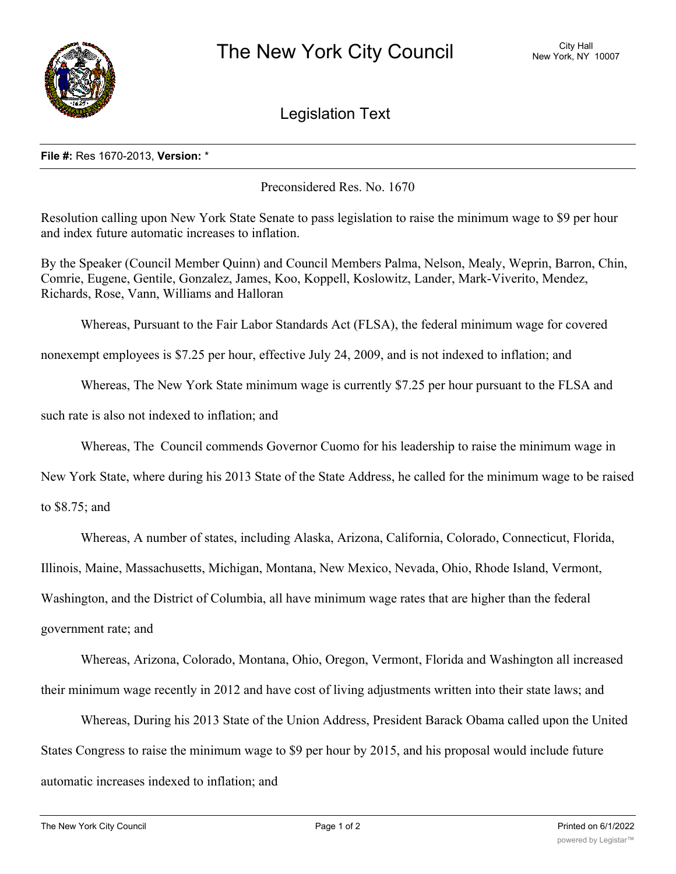

## Legislation Text

## **File #:** Res 1670-2013, **Version:** \*

Preconsidered Res. No. 1670

Resolution calling upon New York State Senate to pass legislation to raise the minimum wage to \$9 per hour and index future automatic increases to inflation.

By the Speaker (Council Member Quinn) and Council Members Palma, Nelson, Mealy, Weprin, Barron, Chin, Comrie, Eugene, Gentile, Gonzalez, James, Koo, Koppell, Koslowitz, Lander, Mark-Viverito, Mendez, Richards, Rose, Vann, Williams and Halloran

Whereas, Pursuant to the Fair Labor Standards Act (FLSA), the federal minimum wage for covered

nonexempt employees is \$7.25 per hour, effective July 24, 2009, and is not indexed to inflation; and

Whereas, The New York State minimum wage is currently \$7.25 per hour pursuant to the FLSA and

such rate is also not indexed to inflation; and

Whereas, The Council commends Governor Cuomo for his leadership to raise the minimum wage in

New York State, where during his 2013 State of the State Address, he called for the minimum wage to be raised

to \$8.75; and

Whereas, A number of states, including Alaska, Arizona, California, Colorado, Connecticut, Florida,

Illinois, Maine, Massachusetts, Michigan, Montana, New Mexico, Nevada, Ohio, Rhode Island, Vermont,

Washington, and the District of Columbia, all have minimum wage rates that are higher than the federal

government rate; and

Whereas, Arizona, Colorado, Montana, Ohio, Oregon, Vermont, Florida and Washington all increased their minimum wage recently in 2012 and have cost of living adjustments written into their state laws; and

Whereas, During his 2013 State of the Union Address, President Barack Obama called upon the United States Congress to raise the minimum wage to \$9 per hour by 2015, and his proposal would include future automatic increases indexed to inflation; and